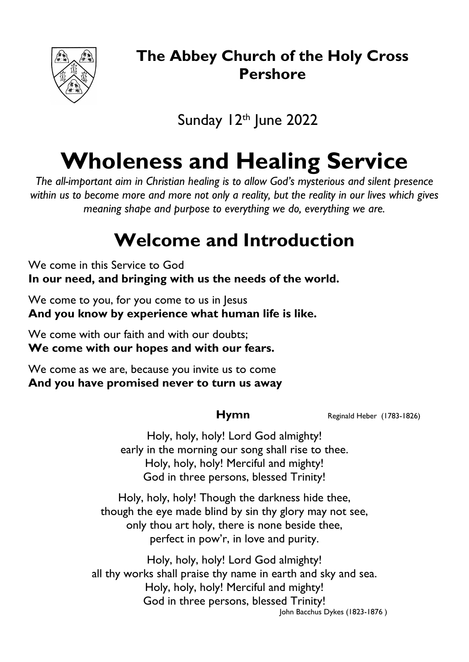

## **The Abbey Church of the Holy Cross Pershore**

Sunday 12th June 2022

# **Wholeness and Healing Service**

*The all-important aim in Christian healing is to allow God's mysterious and silent presence within us to become more and more not only a reality, but the reality in our lives which gives meaning shape and purpose to everything we do, everything we are.*

## **Welcome and Introduction**

We come in this Service to God **In our need, and bringing with us the needs of the world.**

We come to you, for you come to us in Jesus **And you know by experience what human life is like.**

We come with our faith and with our doubts; **We come with our hopes and with our fears.**

We come as we are, because you invite us to come **And you have promised never to turn us away**

**Hymn** Reginald Heber (1783-1826)

Holy, holy, holy! Lord God almighty! early in the morning our song shall rise to thee. Holy, holy, holy! Merciful and mighty! God in three persons, blessed Trinity!

Holy, holy, holy! Though the darkness hide thee, though the eye made blind by sin thy glory may not see, only thou art holy, there is none beside thee, perfect in pow'r, in love and purity.

Holy, holy, holy! Lord God almighty! all thy works shall praise thy name in earth and sky and sea. Holy, holy, holy! Merciful and mighty! God in three persons, blessed Trinity! John Bacchus Dykes (1823-1876 )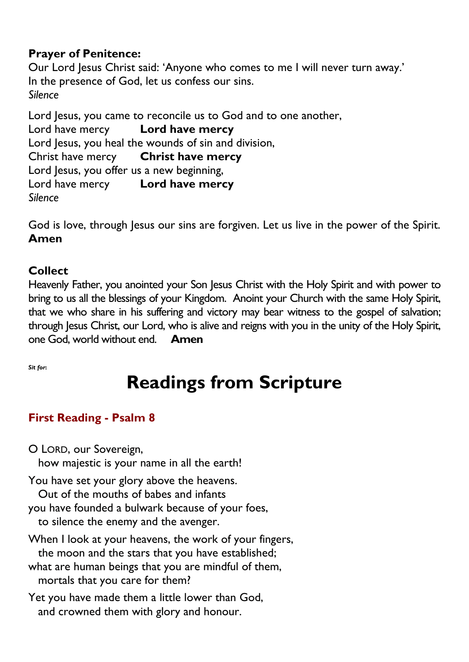### **Prayer of Penitence:**

Our Lord Jesus Christ said: 'Anyone who comes to me I will never turn away.' In the presence of God, let us confess our sins. *Silence*

Lord Jesus, you came to reconcile us to God and to one another, Lord have mercy **Lord have mercy** Lord Jesus, you heal the wounds of sin and division, Christ have mercy **Christ have mercy** Lord Jesus, you offer us a new beginning, Lord have mercy **Lord have mercy** *Silence*

God is love, through Jesus our sins are forgiven. Let us live in the power of the Spirit. **Amen**

### **Collect**

Heavenly Father, you anointed your Son Jesus Christ with the Holy Spirit and with power to bring to us all the blessings of your Kingdom. Anoint your Church with the same Holy Spirit, that we who share in his suffering and victory may bear witness to the gospel of salvation; through Jesus Christ, our Lord, who is alive and reigns with you in the unity of the Holy Spirit, one God, world without end. **Amen**

*Sit for***:**

# **Readings from Scripture**

### **First Reading - Psalm 8**

O LORD, our Sovereign,

how majestic is your name in all the earth!

You have set your glory above the heavens.

Out of the mouths of babes and infants

- you have founded a bulwark because of your foes,
- to silence the enemy and the avenger.
- When I look at your heavens, the work of your fingers, the moon and the stars that you have established;
- what are human beings that you are mindful of them, mortals that you care for them?

Yet you have made them a little lower than God, and crowned them with glory and honour.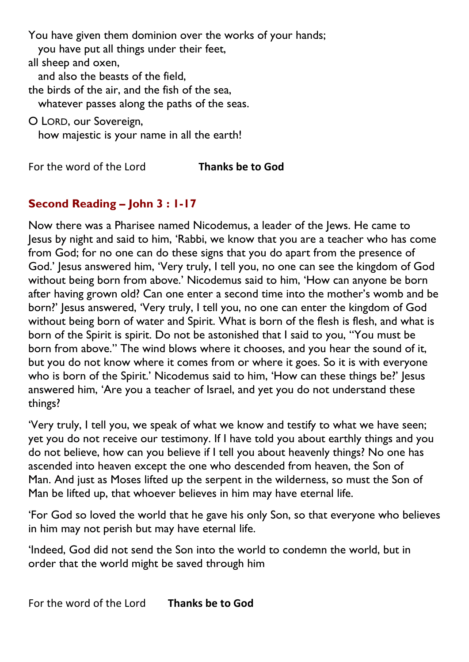You have given them dominion over the works of your hands; you have put all things under their feet, all sheep and oxen, and also the beasts of the field, the birds of the air, and the fish of the sea, whatever passes along the paths of the seas. O LORD, our Sovereign, how majestic is your name in all the earth!

For the word of the Lord **Thanks be to God**

#### **Second Reading – John 3 : 1-17**

Now there was a Pharisee named Nicodemus, a leader of the Jews. He came to Jesus by night and said to him, 'Rabbi, we know that you are a teacher who has come from God; for no one can do these signs that you do apart from the presence of God.' Jesus answered him, 'Very truly, I tell you, no one can see the kingdom of God without being born from above.' Nicodemus said to him, 'How can anyone be born after having grown old? Can one enter a second time into the mother's womb and be born?' Jesus answered, 'Very truly, I tell you, no one can enter the kingdom of God without being born of water and Spirit. What is born of the flesh is flesh, and what is born of the Spirit is spirit. Do not be astonished that I said to you, "You must be born from above." The wind blows where it chooses, and you hear the sound of it, but you do not know where it comes from or where it goes. So it is with everyone who is born of the Spirit.' Nicodemus said to him, 'How can these things be?' Jesus answered him, 'Are you a teacher of Israel, and yet you do not understand these things?

'Very truly, I tell you, we speak of what we know and testify to what we have seen; yet you do not receive our testimony. If I have told you about earthly things and you do not believe, how can you believe if I tell you about heavenly things? No one has ascended into heaven except the one who descended from heaven, the Son of Man. And just as Moses lifted up the serpent in the wilderness, so must the Son of Man be lifted up, that whoever believes in him may have eternal life.

'For God so loved the world that he gave his only Son, so that everyone who believes in him may not perish but may have eternal life.

'Indeed, God did not send the Son into the world to condemn the world, but in order that the world might be saved through him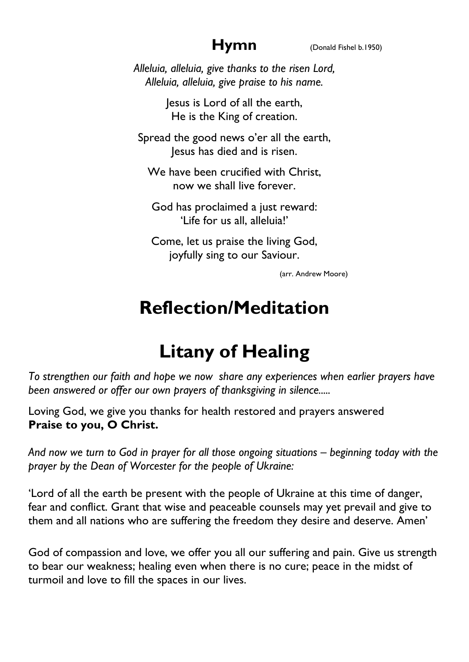*Alleluia, alleluia, give thanks to the risen Lord, Alleluia, alleluia, give praise to his name.*

> Jesus is Lord of all the earth, He is the King of creation.

Spread the good news o'er all the earth, Jesus has died and is risen.

We have been crucified with Christ, now we shall live forever.

God has proclaimed a just reward: 'Life for us all, alleluia!'

Come, let us praise the living God, joyfully sing to our Saviour.

(arr. Andrew Moore)

## **Reflection/Meditation**

# **Litany of Healing**

*To strengthen our faith and hope we now share any experiences when earlier prayers have been answered or offer our own prayers of thanksgiving in silence.....*

Loving God, we give you thanks for health restored and prayers answered **Praise to you, O Christ.**

*And now we turn to God in prayer for all those ongoing situations – beginning today with the prayer by the Dean of Worcester for the people of Ukraine:*

'Lord of all the earth be present with the people of Ukraine at this time of danger, fear and conflict. Grant that wise and peaceable counsels may yet prevail and give to them and all nations who are suffering the freedom they desire and deserve. Amen'

God of compassion and love, we offer you all our suffering and pain. Give us strength to bear our weakness; healing even when there is no cure; peace in the midst of turmoil and love to fill the spaces in our lives.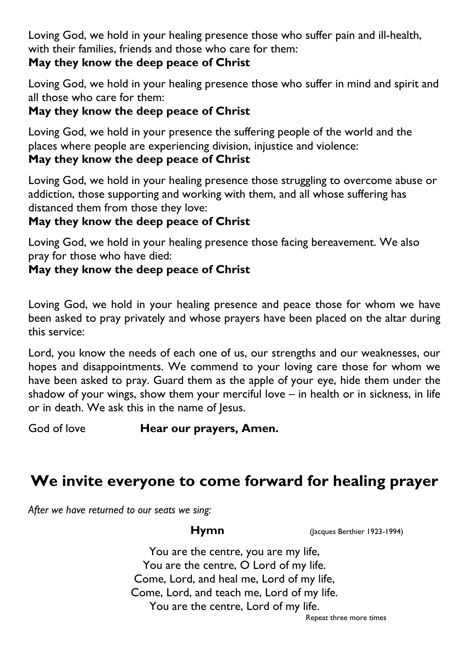Loving God, we hold in your healing presence those who suffer pain and ill-health, with their families, friends and those who care for them:

#### **May they know the deep peace of Christ**

Loving God, we hold in your healing presence those who suffer in mind and spirit and all those who care for them:

### **May they know the deep peace of Christ**

Loving God, we hold in your presence the suffering people of the world and the places where people are experiencing division, injustice and violence:

#### **May they know the deep peace of Christ**

Loving God, we hold in your healing presence those struggling to overcome abuse or addiction, those supporting and working with them, and all whose suffering has distanced them from those they love:

### **May they know the deep peace of Christ**

Loving God, we hold in your healing presence those facing bereavement. We also pray for those who have died:

### **May they know the deep peace of Christ**

Loving God, we hold in your healing presence and peace those for whom we have been asked to pray privately and whose prayers have been placed on the altar during this service:

Lord, you know the needs of each one of us, our strengths and our weaknesses, our hopes and disappointments. We commend to your loving care those for whom we have been asked to pray. Guard them as the apple of your eye, hide them under the shadow of your wings, show them your merciful love – in health or in sickness, in life or in death. We ask this in the name of Jesus.

God of love **Hear our prayers, Amen.**

## **We invite everyone to come forward for healing prayer**

*After we have returned to our seats we sing:*

**Hymn** (Jacques Berthier 1923-1994)

You are the centre, you are my life, You are the centre, O Lord of my life. Come, Lord, and heal me, Lord of my life, Come, Lord, and teach me, Lord of my life. You are the centre, Lord of my life. Repeat three more times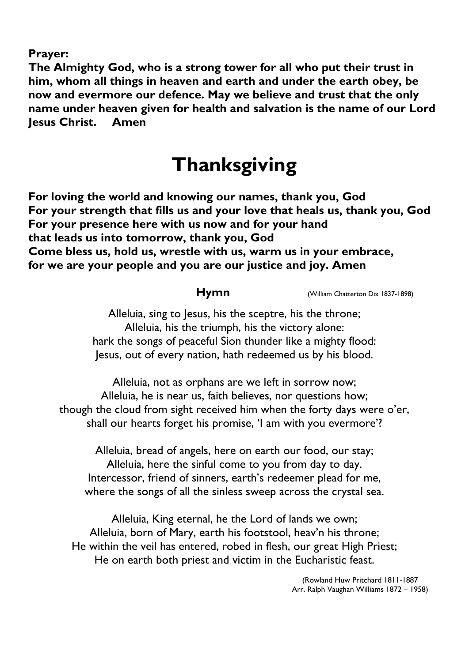**Prayer:**

**The Almighty God, who is a strong tower for all who put their trust in him, whom all things in heaven and earth and under the earth obey, be now and evermore our defence. May we believe and trust that the only name under heaven given for health and salvation is the name of our Lord Jesus Christ. Amen**

## **Thanksgiving**

**For loving the world and knowing our names, thank you, God For your strength that fills us and your love that heals us, thank you, God For your presence here with us now and for your hand that leads us into tomorrow, thank you, God Come bless us, hold us, wrestle with us, warm us in your embrace, for we are your people and you are our justice and joy. Amen**

**Hymn** (William Chatterton Dix 1837-1898)

Alleluia, sing to Jesus, his the sceptre, his the throne; Alleluia, his the triumph, his the victory alone: hark the songs of peaceful Sion thunder like a mighty flood: Jesus, out of every nation, hath redeemed us by his blood.

Alleluia, not as orphans are we left in sorrow now; Alleluia, he is near us, faith believes, nor questions how; though the cloud from sight received him when the forty days were o'er, shall our hearts forget his promise, 'I am with you evermore'?

Alleluia, bread of angels, here on earth our food, our stay; Alleluia, here the sinful come to you from day to day. Intercessor, friend of sinners, earth's redeemer plead for me, where the songs of all the sinless sweep across the crystal sea.

Alleluia, King eternal, he the Lord of lands we own; Alleluia, born of Mary, earth his footstool, heav'n his throne; He within the veil has entered, robed in flesh, our great High Priest; He on earth both priest and victim in the Eucharistic feast.

> (Rowland Huw Pritchard 1811-1887 Arr. Ralph Vaughan Williams 1872 – 1958)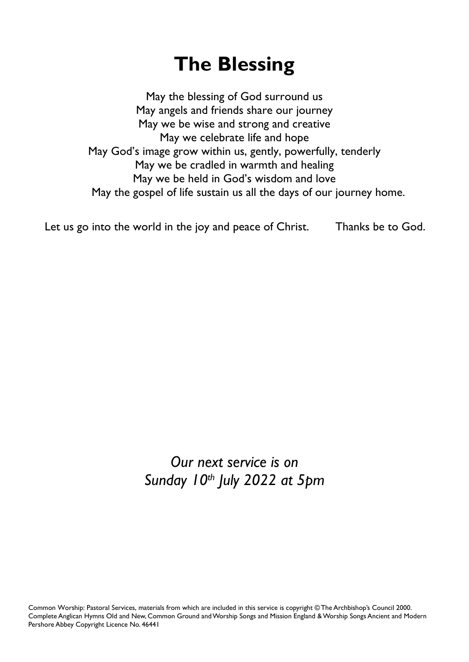# **The Blessing**

May the blessing of God surround us May angels and friends share our journey May we be wise and strong and creative May we celebrate life and hope May God's image grow within us, gently, powerfully, tenderly May we be cradled in warmth and healing May we be held in God's wisdom and love May the gospel of life sustain us all the days of our journey home.

Let us go into the world in the joy and peace of Christ. Thanks be to God.

*Our next service is on Sunday 10th July 2022 at 5pm*